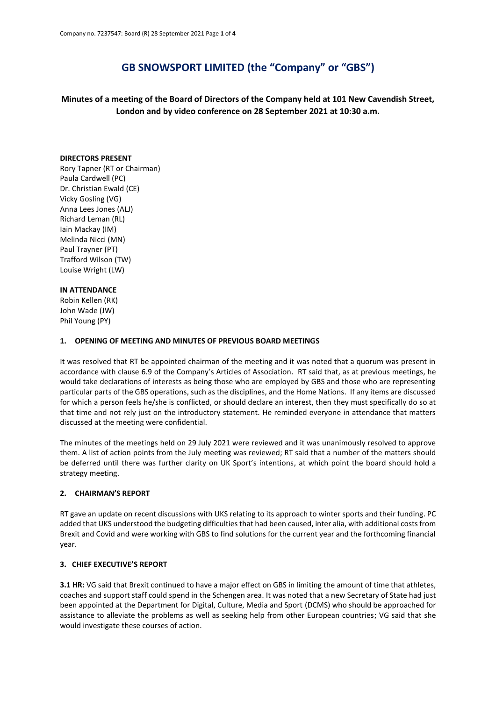# **GB SNOWSPORT LIMITED (the "Company" or "GBS")**

**Minutes of a meeting of the Board of Directors of the Company held at 101 New Cavendish Street, London and by video conference on 28 September 2021 at 10:30 a.m.**

#### **DIRECTORS PRESENT**

Rory Tapner (RT or Chairman) Paula Cardwell (PC) Dr. Christian Ewald (CE) Vicky Gosling (VG) Anna Lees Jones (ALJ) Richard Leman (RL) Iain Mackay (IM) Melinda Nicci (MN) Paul Trayner (PT) Trafford Wilson (TW) Louise Wright (LW)

## **IN ATTENDANCE**

Robin Kellen (RK) John Wade (JW) Phil Young (PY)

# **1. OPENING OF MEETING AND MINUTES OF PREVIOUS BOARD MEETINGS**

It was resolved that RT be appointed chairman of the meeting and it was noted that a quorum was present in accordance with clause 6.9 of the Company's Articles of Association. RT said that, as at previous meetings, he would take declarations of interests as being those who are employed by GBS and those who are representing particular parts of the GBS operations, such as the disciplines, and the Home Nations. If any items are discussed for which a person feels he/she is conflicted, or should declare an interest, then they must specifically do so at that time and not rely just on the introductory statement. He reminded everyone in attendance that matters discussed at the meeting were confidential.

The minutes of the meetings held on 29 July 2021 were reviewed and it was unanimously resolved to approve them. A list of action points from the July meeting was reviewed; RT said that a number of the matters should be deferred until there was further clarity on UK Sport's intentions, at which point the board should hold a strategy meeting.

# **2. CHAIRMAN'S REPORT**

RT gave an update on recent discussions with UKS relating to its approach to winter sports and their funding. PC added that UKS understood the budgeting difficulties that had been caused, inter alia, with additional costs from Brexit and Covid and were working with GBS to find solutions for the current year and the forthcoming financial year.

# **3. CHIEF EXECUTIVE'S REPORT**

**3.1 HR:** VG said that Brexit continued to have a major effect on GBS in limiting the amount of time that athletes, coaches and support staff could spend in the Schengen area. It was noted that a new Secretary of State had just been appointed at the Department for Digital, Culture, Media and Sport (DCMS) who should be approached for assistance to alleviate the problems as well as seeking help from other European countries; VG said that she would investigate these courses of action.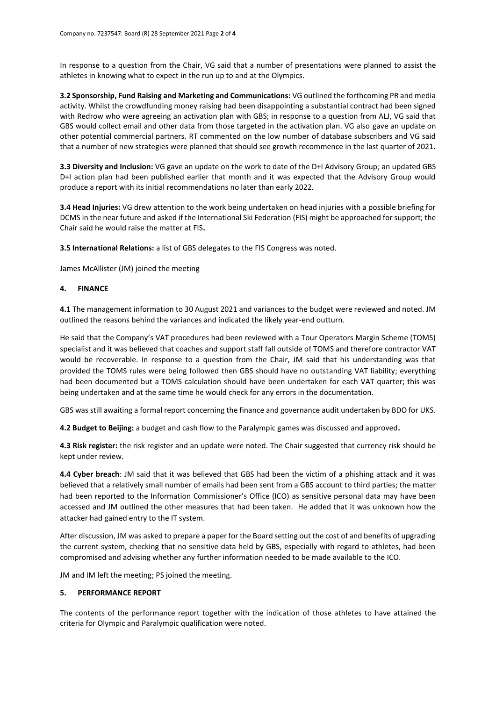In response to a question from the Chair, VG said that a number of presentations were planned to assist the athletes in knowing what to expect in the run up to and at the Olympics.

**3.2 Sponsorship, Fund Raising and Marketing and Communications:** VG outlined the forthcoming PR and media activity. Whilst the crowdfunding money raising had been disappointing a substantial contract had been signed with Redrow who were agreeing an activation plan with GBS; in response to a question from ALJ, VG said that GBS would collect email and other data from those targeted in the activation plan. VG also gave an update on other potential commercial partners. RT commented on the low number of database subscribers and VG said that a number of new strategies were planned that should see growth recommence in the last quarter of 2021.

**3.3 Diversity and Inclusion:** VG gave an update on the work to date of the D+I Advisory Group; an updated GBS D+I action plan had been published earlier that month and it was expected that the Advisory Group would produce a report with its initial recommendations no later than early 2022.

**3.4 Head Injuries:** VG drew attention to the work being undertaken on head injuries with a possible briefing for DCMS in the near future and asked if the International Ski Federation (FIS) might be approached for support; the Chair said he would raise the matter at FIS**.**

**3.5 International Relations:** a list of GBS delegates to the FIS Congress was noted.

James McAllister (JM) joined the meeting

## **4. FINANCE**

**4.1** The management information to 30 August 2021 and variances to the budget were reviewed and noted. JM outlined the reasons behind the variances and indicated the likely year-end outturn.

He said that the Company's VAT procedures had been reviewed with a Tour Operators Margin Scheme (TOMS) specialist and it was believed that coaches and support staff fall outside of TOMS and therefore contractor VAT would be recoverable. In response to a question from the Chair, JM said that his understanding was that provided the TOMS rules were being followed then GBS should have no outstanding VAT liability; everything had been documented but a TOMS calculation should have been undertaken for each VAT quarter; this was being undertaken and at the same time he would check for any errors in the documentation.

GBS was still awaiting a formal report concerning the finance and governance audit undertaken by BDO for UKS.

**4.2 Budget to Beijing:** a budget and cash flow to the Paralympic games was discussed and approved**.** 

**4.3 Risk register:** the risk register and an update were noted. The Chair suggested that currency risk should be kept under review.

**4.4 Cyber breach**: JM said that it was believed that GBS had been the victim of a phishing attack and it was believed that a relatively small number of emails had been sent from a GBS account to third parties; the matter had been reported to the Information Commissioner's Office (ICO) as sensitive personal data may have been accessed and JM outlined the other measures that had been taken. He added that it was unknown how the attacker had gained entry to the IT system.

After discussion, JM was asked to prepare a paper for the Board setting out the cost of and benefits of upgrading the current system, checking that no sensitive data held by GBS, especially with regard to athletes, had been compromised and advising whether any further information needed to be made available to the ICO.

JM and IM left the meeting; PS joined the meeting.

#### **5. PERFORMANCE REPORT**

The contents of the performance report together with the indication of those athletes to have attained the criteria for Olympic and Paralympic qualification were noted.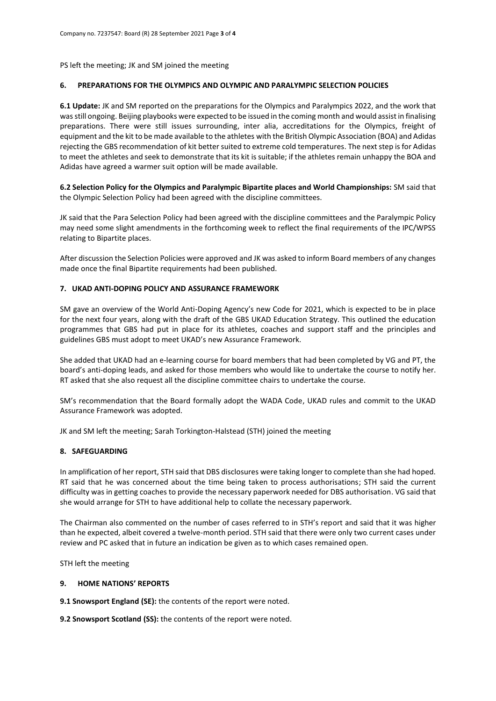PS left the meeting; JK and SM joined the meeting

## **6. PREPARATIONS FOR THE OLYMPICS AND OLYMPIC AND PARALYMPIC SELECTION POLICIES**

**6.1 Update:** JK and SM reported on the preparations for the Olympics and Paralympics 2022, and the work that was still ongoing. Beijing playbooks were expected to be issued in the coming month and would assist in finalising preparations. There were still issues surrounding, inter alia, accreditations for the Olympics, freight of equipment and the kit to be made available to the athletes with the British Olympic Association (BOA) and Adidas rejecting the GBS recommendation of kit better suited to extreme cold temperatures. The next step is for Adidas to meet the athletes and seek to demonstrate that its kit is suitable; if the athletes remain unhappy the BOA and Adidas have agreed a warmer suit option will be made available.

**6.2 Selection Policy for the Olympics and Paralympic Bipartite places and World Championships:** SM said that the Olympic Selection Policy had been agreed with the discipline committees.

JK said that the Para Selection Policy had been agreed with the discipline committees and the Paralympic Policy may need some slight amendments in the forthcoming week to reflect the final requirements of the IPC/WPSS relating to Bipartite places.

After discussion the Selection Policies were approved and JK was asked to inform Board members of any changes made once the final Bipartite requirements had been published.

## **7. UKAD ANTI-DOPING POLICY AND ASSURANCE FRAMEWORK**

SM gave an overview of the World Anti-Doping Agency's new Code for 2021, which is expected to be in place for the next four years, along with the draft of the GBS UKAD Education Strategy. This outlined the education programmes that GBS had put in place for its athletes, coaches and support staff and the principles and guidelines GBS must adopt to meet UKAD's new Assurance Framework.

She added that UKAD had an e-learning course for board members that had been completed by VG and PT, the board's anti-doping leads, and asked for those members who would like to undertake the course to notify her. RT asked that she also request all the discipline committee chairs to undertake the course.

SM's recommendation that the Board formally adopt the WADA Code, UKAD rules and commit to the UKAD Assurance Framework was adopted.

JK and SM left the meeting; Sarah Torkington-Halstead (STH) joined the meeting

## **8. SAFEGUARDING**

In amplification of her report, STH said that DBS disclosures were taking longer to complete than she had hoped. RT said that he was concerned about the time being taken to process authorisations; STH said the current difficulty was in getting coaches to provide the necessary paperwork needed for DBS authorisation. VG said that she would arrange for STH to have additional help to collate the necessary paperwork.

The Chairman also commented on the number of cases referred to in STH's report and said that it was higher than he expected, albeit covered a twelve-month period. STH said that there were only two current cases under review and PC asked that in future an indication be given as to which cases remained open.

STH left the meeting

#### **9. HOME NATIONS' REPORTS**

**9.1 Snowsport England (SE):** the contents of the report were noted.

**9.2 Snowsport Scotland (SS):** the contents of the report were noted.